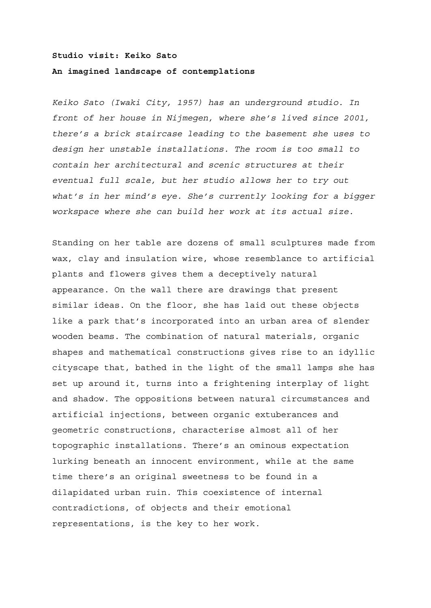## **Studio visit: Keiko Sato**

## **An imagined landscape of contemplations**

*Keiko Sato (Iwaki City, 1957) has an underground studio. In front of her house in Nijmegen, where she's lived since 2001, there's a brick staircase leading to the basement she uses to design her unstable installations. The room is too small to contain her architectural and scenic structures at their eventual full scale, but her studio allows her to try out what's in her mind's eye. She's currently looking for a bigger workspace where she can build her work at its actual size.*

Standing on her table are dozens of small sculptures made from wax, clay and insulation wire, whose resemblance to artificial plants and flowers gives them a deceptively natural appearance. On the wall there are drawings that present similar ideas. On the floor, she has laid out these objects like a park that's incorporated into an urban area of slender wooden beams. The combination of natural materials, organic shapes and mathematical constructions gives rise to an idyllic cityscape that, bathed in the light of the small lamps she has set up around it, turns into a frightening interplay of light and shadow. The oppositions between natural circumstances and artificial injections, between organic extuberances and geometric constructions, characterise almost all of her topographic installations. There's an ominous expectation lurking beneath an innocent environment, while at the same time there's an original sweetness to be found in a dilapidated urban ruin. This coexistence of internal contradictions, of objects and their emotional representations, is the key to her work.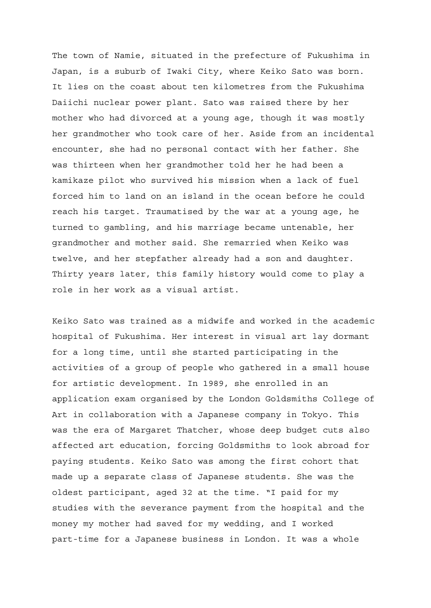The town of Namie, situated in the prefecture of Fukushima in Japan, is a suburb of Iwaki City, where Keiko Sato was born. It lies on the coast about ten kilometres from the Fukushima Daiichi nuclear power plant. Sato was raised there by her mother who had divorced at a young age, though it was mostly her grandmother who took care of her. Aside from an incidental encounter, she had no personal contact with her father. She was thirteen when her grandmother told her he had been a kamikaze pilot who survived his mission when a lack of fuel forced him to land on an island in the ocean before he could reach his target. Traumatised by the war at a young age, he turned to gambling, and his marriage became untenable, her grandmother and mother said. She remarried when Keiko was twelve, and her stepfather already had a son and daughter. Thirty years later, this family history would come to play a role in her work as a visual artist.

Keiko Sato was trained as a midwife and worked in the academic hospital of Fukushima. Her interest in visual art lay dormant for a long time, until she started participating in the activities of a group of people who gathered in a small house for artistic development. In 1989, she enrolled in an application exam organised by the London Goldsmiths College of Art in collaboration with a Japanese company in Tokyo. This was the era of Margaret Thatcher, whose deep budget cuts also affected art education, forcing Goldsmiths to look abroad for paying students. Keiko Sato was among the first cohort that made up a separate class of Japanese students. She was the oldest participant, aged 32 at the time. "I paid for my studies with the severance payment from the hospital and the money my mother had saved for my wedding, and I worked part-time for a Japanese business in London. It was a whole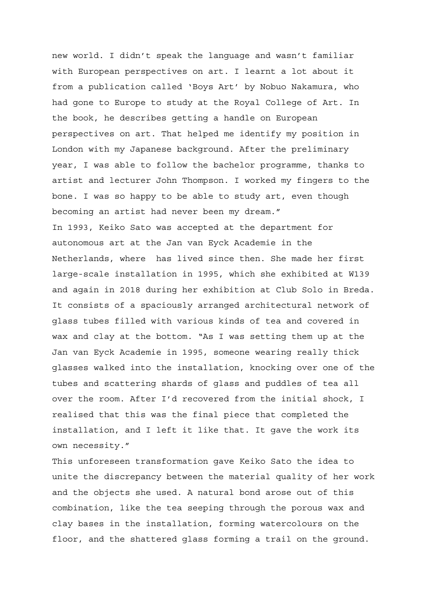new world. I didn't speak the language and wasn't familiar with European perspectives on art. I learnt a lot about it from a publication called 'Boys Art' by Nobuo Nakamura, who had gone to Europe to study at the Royal College of Art. In the book, he describes getting a handle on European perspectives on art. That helped me identify my position in London with my Japanese background. After the preliminary year, I was able to follow the bachelor programme, thanks to artist and lecturer John Thompson. I worked my fingers to the bone. I was so happy to be able to study art, even though becoming an artist had never been my dream." In 1993, Keiko Sato was accepted at the department for autonomous art at the Jan van Eyck Academie in the Netherlands, where has lived since then. She made her first large-scale installation in 1995, which she exhibited at W139 and again in 2018 during her exhibition at Club Solo in Breda. It consists of a spaciously arranged architectural network of glass tubes filled with various kinds of tea and covered in wax and clay at the bottom. "As I was setting them up at the Jan van Eyck Academie in 1995, someone wearing really thick glasses walked into the installation, knocking over one of the tubes and scattering shards of glass and puddles of tea all over the room. After I'd recovered from the initial shock, I realised that this was the final piece that completed the installation, and I left it like that. It gave the work its own necessity."

This unforeseen transformation gave Keiko Sato the idea to unite the discrepancy between the material quality of her work and the objects she used. A natural bond arose out of this combination, like the tea seeping through the porous wax and clay bases in the installation, forming watercolours on the floor, and the shattered glass forming a trail on the ground.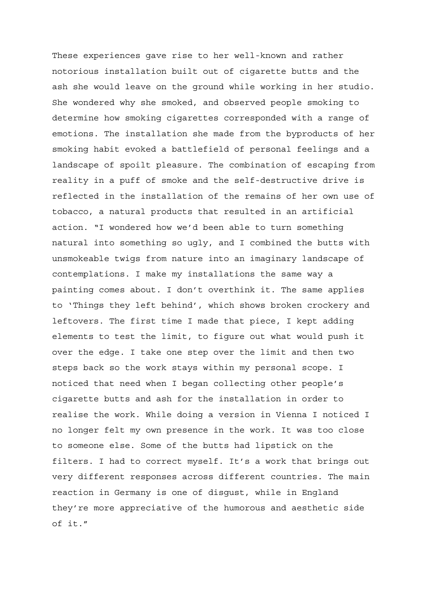These experiences gave rise to her well-known and rather notorious installation built out of cigarette butts and the ash she would leave on the ground while working in her studio. She wondered why she smoked, and observed people smoking to determine how smoking cigarettes corresponded with a range of emotions. The installation she made from the byproducts of her smoking habit evoked a battlefield of personal feelings and a landscape of spoilt pleasure. The combination of escaping from reality in a puff of smoke and the self-destructive drive is reflected in the installation of the remains of her own use of tobacco, a natural products that resulted in an artificial action. "I wondered how we'd been able to turn something natural into something so ugly, and I combined the butts with unsmokeable twigs from nature into an imaginary landscape of contemplations. I make my installations the same way a painting comes about. I don't overthink it. The same applies to 'Things they left behind', which shows broken crockery and leftovers. The first time I made that piece, I kept adding elements to test the limit, to figure out what would push it over the edge. I take one step over the limit and then two steps back so the work stays within my personal scope. I noticed that need when I began collecting other people's cigarette butts and ash for the installation in order to realise the work. While doing a version in Vienna I noticed I no longer felt my own presence in the work. It was too close to someone else. Some of the butts had lipstick on the filters. I had to correct myself. It's a work that brings out very different responses across different countries. The main reaction in Germany is one of disgust, while in England they're more appreciative of the humorous and aesthetic side of it."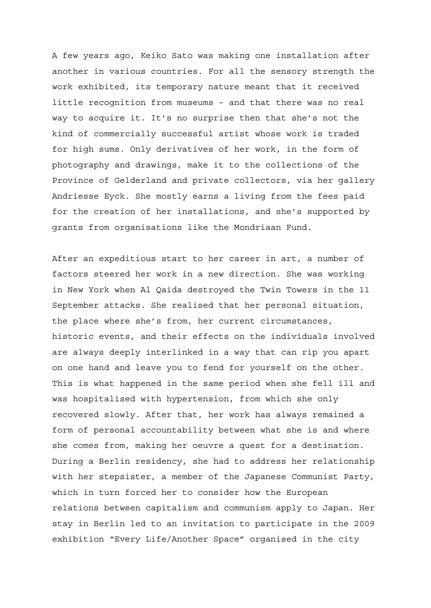A few years ago, Keiko Sato was making one installation after another in various countries. For all the sensory strength the work exhibited, its temporary nature meant that it received little recognition from museums – and that there was no real way to acquire it. It's no surprise then that she's not the kind of commercially successful artist whose work is traded for high sums. Only derivatives of her work, in the form of photography and drawings, make it to the collections of the Province of Gelderland and private collectors, via her gallery Andriesse Eyck. She mostly earns a living from the fees paid for the creation of her installations, and she's supported by grants from organisations like the Mondriaan Fund.

After an expeditious start to her career in art, a number of factors steered her work in a new direction. She was working in New York when Al Qaida destroyed the Twin Towers in the 11 September attacks. She realised that her personal situation, the place where she's from, her current circumstances, historic events, and their effects on the individuals involved are always deeply interlinked in a way that can rip you apart on one hand and leave you to fend for yourself on the other. This is what happened in the same period when she fell ill and was hospitalised with hypertension, from which she only recovered slowly. After that, her work has always remained a form of personal accountability between what she is and where she comes from, making her oeuvre a quest for a destination. During a Berlin residency, she had to address her relationship with her stepsister, a member of the Japanese Communist Party, which in turn forced her to consider how the European relations between capitalism and communism apply to Japan. Her stay in Berlin led to an invitation to participate in the 2009 exhibition "Every Life/Another Space" organised in the city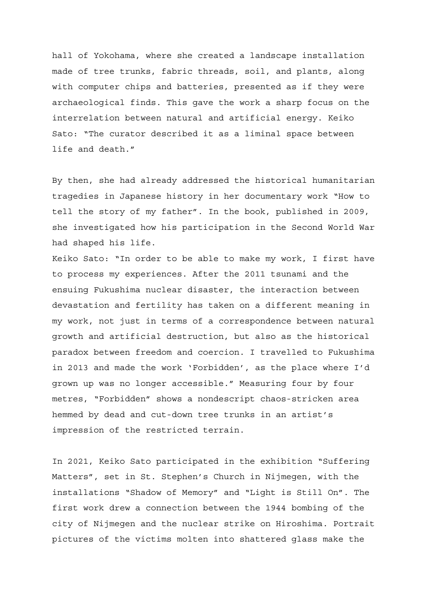hall of Yokohama, where she created a landscape installation made of tree trunks, fabric threads, soil, and plants, along with computer chips and batteries, presented as if they were archaeological finds. This gave the work a sharp focus on the interrelation between natural and artificial energy. Keiko Sato: "The curator described it as a liminal space between life and death."

By then, she had already addressed the historical humanitarian tragedies in Japanese history in her documentary work "How to tell the story of my father". In the book, published in 2009, she investigated how his participation in the Second World War had shaped his life.

Keiko Sato: "In order to be able to make my work, I first have to process my experiences. After the 2011 tsunami and the ensuing Fukushima nuclear disaster, the interaction between devastation and fertility has taken on a different meaning in my work, not just in terms of a correspondence between natural growth and artificial destruction, but also as the historical paradox between freedom and coercion. I travelled to Fukushima in 2013 and made the work 'Forbidden', as the place where I'd grown up was no longer accessible." Measuring four by four metres, "Forbidden" shows a nondescript chaos-stricken area hemmed by dead and cut-down tree trunks in an artist's impression of the restricted terrain.

In 2021, Keiko Sato participated in the exhibition "Suffering Matters", set in St. Stephen's Church in Nijmegen, with the installations "Shadow of Memory" and "Light is Still On". The first work drew a connection between the 1944 bombing of the city of Nijmegen and the nuclear strike on Hiroshima. Portrait pictures of the victims molten into shattered glass make the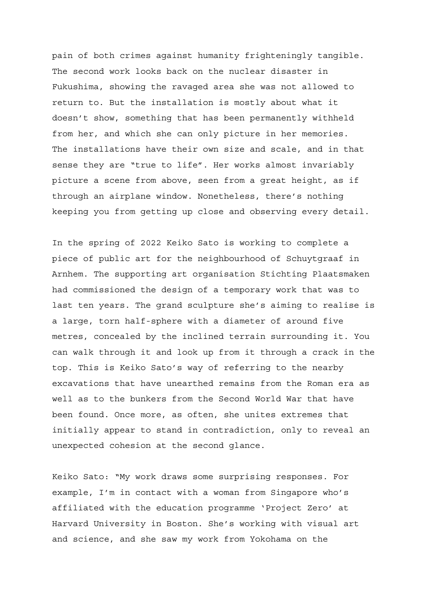pain of both crimes against humanity frighteningly tangible. The second work looks back on the nuclear disaster in Fukushima, showing the ravaged area she was not allowed to return to. But the installation is mostly about what it doesn't show, something that has been permanently withheld from her, and which she can only picture in her memories. The installations have their own size and scale, and in that sense they are "true to life". Her works almost invariably picture a scene from above, seen from a great height, as if through an airplane window. Nonetheless, there's nothing keeping you from getting up close and observing every detail.

In the spring of 2022 Keiko Sato is working to complete a piece of public art for the neighbourhood of Schuytgraaf in Arnhem. The supporting art organisation Stichting Plaatsmaken had commissioned the design of a temporary work that was to last ten years. The grand sculpture she's aiming to realise is a large, torn half-sphere with a diameter of around five metres, concealed by the inclined terrain surrounding it. You can walk through it and look up from it through a crack in the top. This is Keiko Sato's way of referring to the nearby excavations that have unearthed remains from the Roman era as well as to the bunkers from the Second World War that have been found. Once more, as often, she unites extremes that initially appear to stand in contradiction, only to reveal an unexpected cohesion at the second glance.

Keiko Sato: "My work draws some surprising responses. For example, I'm in contact with a woman from Singapore who's affiliated with the education programme 'Project Zero' at Harvard University in Boston. She's working with visual art and science, and she saw my work from Yokohama on the